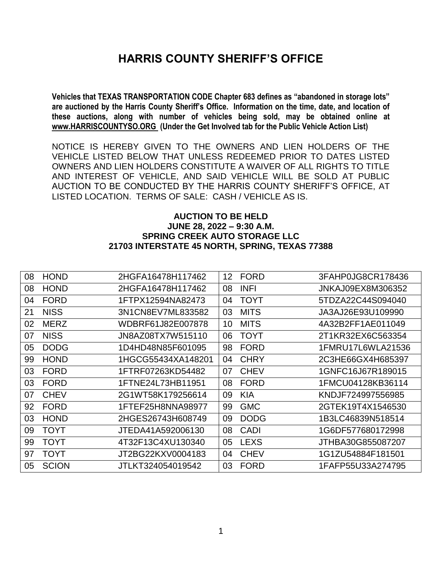# **HARRIS COUNTY SHERIFF'S OFFICE**

**Vehicles that TEXAS TRANSPORTATION CODE Chapter 683 defines as "abandoned in storage lots" are auctioned by the Harris County Sheriff's Office. Information on the time, date, and location of these auctions, along with number of vehicles being sold, may be obtained online at [www.HARRISCOUNTYSO.ORG](http://www.harriscountyso.org/) (Under the Get Involved tab for the Public Vehicle Action List)**

NOTICE IS HEREBY GIVEN TO THE OWNERS AND LIEN HOLDERS OF THE VEHICLE LISTED BELOW THAT UNLESS REDEEMED PRIOR TO DATES LISTED OWNERS AND LIEN HOLDERS CONSTITUTE A WAIVER OF ALL RIGHTS TO TITLE AND INTEREST OF VEHICLE, AND SAID VEHICLE WILL BE SOLD AT PUBLIC AUCTION TO BE CONDUCTED BY THE HARRIS COUNTY SHERIFF'S OFFICE, AT LISTED LOCATION. TERMS OF SALE: CASH / VEHICLE AS IS.

#### **AUCTION TO BE HELD JUNE 28, 2022 – 9:30 A.M. SPRING CREEK AUTO STORAGE LLC 21703 INTERSTATE 45 NORTH, SPRING, TEXAS 77388**

| 08 | <b>HOND</b>  | 2HGFA16478H117462  | 12 | <b>FORD</b> | 3FAHP0JG8CR178436 |
|----|--------------|--------------------|----|-------------|-------------------|
| 08 | <b>HOND</b>  | 2HGFA16478H117462  | 08 | <b>INFI</b> | JNKAJ09EX8M306352 |
| 04 | <b>FORD</b>  | 1FTPX12594NA82473  | 04 | <b>TOYT</b> | 5TDZA22C44S094040 |
| 21 | <b>NISS</b>  | 3N1CN8EV7ML833582  | 03 | <b>MITS</b> | JA3AJ26E93U109990 |
| 02 | <b>MERZ</b>  | WDBRF61J82E007878  | 10 | <b>MITS</b> | 4A32B2FF1AE011049 |
| 07 | <b>NISS</b>  | JN8AZ08TX7W515110  | 06 | <b>TOYT</b> | 2T1KR32EX6C563354 |
| 05 | <b>DODG</b>  | 1D4HD48N85F601095  | 98 | <b>FORD</b> | 1FMRU17L6WLA21536 |
| 99 | <b>HOND</b>  | 1HGCG55434XA148201 | 04 | <b>CHRY</b> | 2C3HE66GX4H685397 |
| 03 | <b>FORD</b>  | 1FTRF07263KD54482  | 07 | <b>CHEV</b> | 1GNFC16J67R189015 |
| 03 | <b>FORD</b>  | 1FTNE24L73HB11951  | 08 | <b>FORD</b> | 1FMCU04128KB36114 |
| 07 | <b>CHEV</b>  | 2G1WT58K179256614  | 09 | <b>KIA</b>  | KNDJF724997556985 |
| 92 | <b>FORD</b>  | 1FTEF25H8NNA98977  | 99 | <b>GMC</b>  | 2GTEK19T4X1546530 |
| 03 | <b>HOND</b>  | 2HGES26743H608749  | 09 | <b>DODG</b> | 1B3LC46839N518514 |
| 09 | <b>TOYT</b>  | JTEDA41A592006130  | 08 | <b>CADI</b> | 1G6DF577680172998 |
| 99 | <b>TOYT</b>  | 4T32F13C4XU130340  | 05 | <b>LEXS</b> | JTHBA30G855087207 |
| 97 | <b>TOYT</b>  | JT2BG22KXV0004183  | 04 | <b>CHEV</b> | 1G1ZU54884F181501 |
| 05 | <b>SCION</b> | JTLKT324054019542  | 03 | <b>FORD</b> | 1FAFP55U33A274795 |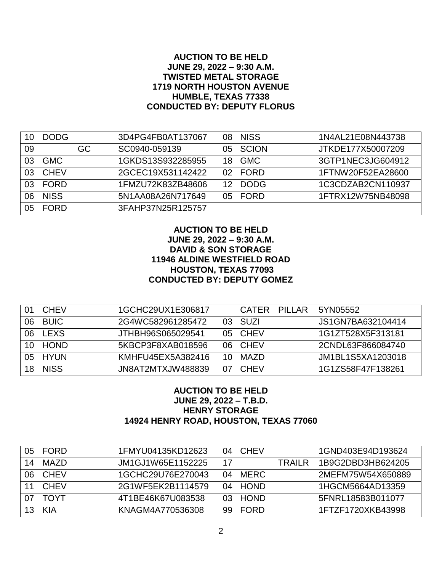## **AUCTION TO BE HELD JUNE 29, 2022 – 9:30 A.M. TWISTED METAL STORAGE 1719 NORTH HOUSTON AVENUE HUMBLE, TEXAS 77338 CONDUCTED BY: DEPUTY FLORUS**

|    | <b>DODG</b> |    | 3D4PG4FB0AT137067 | 08  | <b>NISS</b> | 1N4AL21E08N443738 |
|----|-------------|----|-------------------|-----|-------------|-------------------|
| 09 |             | GC | SC0940-059139     | 05. | SCION       | JTKDE177X50007209 |
| 03 | <b>GMC</b>  |    | 1GKDS13S932285955 | 18  | <b>GMC</b>  | 3GTP1NEC3JG604912 |
| 03 | <b>CHEV</b> |    | 2GCEC19X531142422 | 02  | <b>FORD</b> | 1FTNW20F52EA28600 |
| 03 | <b>FORD</b> |    | 1FMZU72K83ZB48606 | 12  | <b>DODG</b> | 1C3CDZAB2CN110937 |
| 06 | <b>NISS</b> |    | 5N1AA08A26N717649 | 05. | FORD        | 1FTRX12W75NB48098 |
| 05 | <b>FORD</b> |    | 3FAHP37N25R125757 |     |             |                   |

## **AUCTION TO BE HELD JUNE 29, 2022 – 9:30 A.M. DAVID & SON STORAGE 11946 ALDINE WESTFIELD ROAD HOUSTON, TEXAS 77093 CONDUCTED BY: DEPUTY GOMEZ**

| (11) | <b>CHEV</b> | 1GCHC29UX1E306817 |      | <b>CATFR</b> | PILLAR | 5YN05552          |
|------|-------------|-------------------|------|--------------|--------|-------------------|
| 06   | <b>BUIC</b> | 2G4WC582961285472 | 03.  | SUZI         |        | JS1GN7BA632104414 |
| 06   | <b>LEXS</b> | JTHBH96S065029541 |      | 05 CHEV      |        | 1G1ZT528X5F313181 |
| 10.  | HOND        | 5KBCP3F8XAB018596 | 06 I | CHEV         |        | 2CNDL63F866084740 |
|      | 05 HYUN     | KMHFU45EX5A382416 | 10   | MAZD         |        | JM1BL1S5XA1203018 |
|      | 18 NISS     | JN8AT2MTXJW488839 | 07   | <b>CHEV</b>  |        | 1G1ZS58F47F138261 |

## **AUCTION TO BE HELD JUNE 29, 2022 – T.B.D. HENRY STORAGE 14924 HENRY ROAD, HOUSTON, TEXAS 77060**

| 05 | <b>FORD</b> | 1FMYU04135KD12623 | 04  | <b>CHEV</b> |         | 1GND403E94D193624 |
|----|-------------|-------------------|-----|-------------|---------|-------------------|
| 14 | MAZD        | JM1GJ1W65E1152225 | 17  |             | TRAII R | 1B9G2DBD3HB624205 |
| 06 | <b>CHEV</b> | 1GCHC29U76E270043 | 04  | <b>MERC</b> |         | 2MEFM75W54X650889 |
|    | <b>CHEV</b> | 2G1WF5EK2B1114579 | 04  | <b>HOND</b> |         | 1HGCM5664AD13359  |
|    | TOYT        | 4T1BE46K67U083538 | 03. | <b>HOND</b> |         | 5FNRL18583B011077 |
|    | KIA         | KNAGM4A770536308  | 99  | FORD        |         | 1FTZF1720XKB43998 |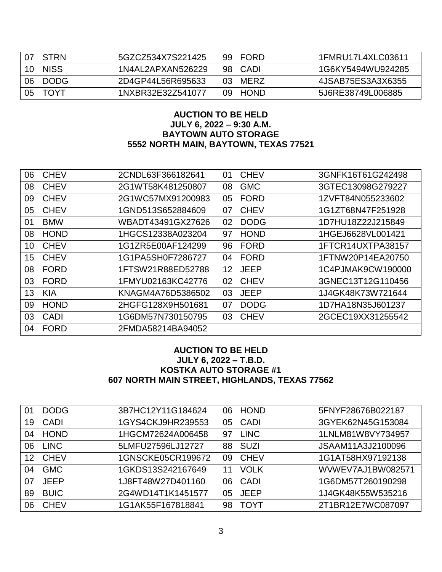| 07   | STRN        | 5GZCZ534X7S221425 |      | 99 FORD | 1FMRU17L4XLC03611 |
|------|-------------|-------------------|------|---------|-------------------|
| 10 I | <b>NISS</b> | 1N4AL2APXAN526229 |      | 98 CADI | 1G6KY5494WU924285 |
| 06   | DODG        | 2D4GP44L56R695633 | -03- | MFRZ    | 4JSAB75ES3A3X6355 |
|      | 05 TOYT     | 1NXBR32E32Z541077 |      | 09 HOND | 5J6RE38749L006885 |

## **AUCTION TO BE HELD JULY 6, 2022 – 9:30 A.M. BAYTOWN AUTO STORAGE 5552 NORTH MAIN, BAYTOWN, TEXAS 77521**

| 06 | <b>CHEV</b> | 2CNDL63F366182641 | 01 | <b>CHEV</b> | 3GNFK16T61G242498 |
|----|-------------|-------------------|----|-------------|-------------------|
| 08 | <b>CHEV</b> | 2G1WT58K481250807 | 08 | <b>GMC</b>  | 3GTEC13098G279227 |
| 09 | <b>CHEV</b> | 2G1WC57MX91200983 | 05 | <b>FORD</b> | 1ZVFT84N055233602 |
| 05 | <b>CHEV</b> | 1GND513S652884609 | 07 | <b>CHEV</b> | 1G1ZT68N47F251928 |
| 01 | <b>BMW</b>  | WBADT43491GX27626 | 02 | <b>DODG</b> | 1D7HU18Z22J215849 |
| 08 | <b>HOND</b> | 1HGCS12338A023204 | 97 | <b>HOND</b> | 1HGEJ6628VL001421 |
| 10 | <b>CHEV</b> | 1G1ZR5E00AF124299 | 96 | <b>FORD</b> | 1FTCR14UXTPA38157 |
| 15 | <b>CHEV</b> | 1G1PA5SH0F7286727 | 04 | <b>FORD</b> | 1FTNW20P14EA20750 |
| 08 | <b>FORD</b> | 1FTSW21R88ED52788 | 12 | <b>JEEP</b> | 1C4PJMAK9CW190000 |
| 03 | <b>FORD</b> | 1FMYU02163KC42776 | 02 | <b>CHEV</b> | 3GNEC13T12G110456 |
| 13 | <b>KIA</b>  | KNAGM4A76D5386502 | 03 | <b>JEEP</b> | 1J4GK48K73W721644 |
| 09 | <b>HOND</b> | 2HGFG128X9H501681 | 07 | <b>DODG</b> | 1D7HA18N35J601237 |
| 03 | <b>CADI</b> | 1G6DM57N730150795 | 03 | <b>CHEV</b> | 2GCEC19XX31255542 |
| 04 | <b>FORD</b> | 2FMDA58214BA94052 |    |             |                   |

# **AUCTION TO BE HELD JULY 6, 2022 – T.B.D. KOSTKA AUTO STORAGE #1 607 NORTH MAIN STREET, HIGHLANDS, TEXAS 77562**

| 01 | <b>DODG</b> | 3B7HC12Y11G184624 | 06 | <b>HOND</b> | 5FNYF28676B022187 |
|----|-------------|-------------------|----|-------------|-------------------|
| 19 | CADI        | 1GYS4CKJ9HR239553 | 05 | CADI        | 3GYEK62N45G153084 |
| 04 | <b>HOND</b> | 1HGCM72624A006458 | 97 | <b>LINC</b> | 1LNLM81W8VY734957 |
| 06 | <b>LINC</b> | 5LMFU27596LJ12727 | 88 | <b>SUZI</b> | JSAAM11A3J2100096 |
| 12 | <b>CHEV</b> | 1GNSCKE05CR199672 | 09 | <b>CHEV</b> | 1G1AT58HX97192138 |
| 04 | <b>GMC</b>  | 1GKDS13S242167649 | 11 | <b>VOLK</b> | WVWEV7AJ1BW082571 |
| 07 | <b>JEEP</b> | 1J8FT48W27D401160 | 06 | CADI        | 1G6DM57T260190298 |
| 89 | <b>BUIC</b> | 2G4WD14T1K1451577 | 05 | <b>JEEP</b> | 1J4GK48K55W535216 |
| 06 | <b>CHEV</b> | 1G1AK55F167818841 | 98 | <b>TOYT</b> | 2T1BR12E7WC087097 |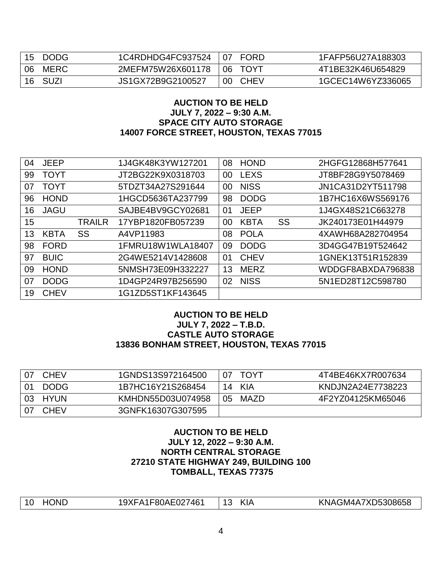| 15 | DODG        | 1C4RDHDG4FC937524 | <b>FORD</b><br>l 07 | 1FAFP56U27A188303 |
|----|-------------|-------------------|---------------------|-------------------|
| 06 | <b>MERC</b> | 2MEFM75W26X601178 | റഭ<br><b>TOYT</b>   | 4T1BE32K46U654829 |
| 16 | SUZI        | JS1GX72B9G2100527 | <b>CHEV</b><br>00   | 1GCEC14W6YZ336065 |

## **AUCTION TO BE HELD JULY 7, 2022 – 9:30 A.M. SPACE CITY AUTO STORAGE 14007 FORCE STREET, HOUSTON, TEXAS 77015**

| 04 | <b>JEEP</b> |               | 1J4GK48K3YW127201 | 08 | <b>HOND</b> |    | 2HGFG12868H577641 |
|----|-------------|---------------|-------------------|----|-------------|----|-------------------|
| 99 | <b>TOYT</b> |               | JT2BG22K9X0318703 | 00 | <b>LEXS</b> |    | JT8BF28G9Y5078469 |
| 07 | <b>TOYT</b> |               | 5TDZT34A27S291644 | 00 | <b>NISS</b> |    | JN1CA31D2YT511798 |
| 96 | <b>HOND</b> |               | 1HGCD5636TA237799 | 98 | <b>DODG</b> |    | 1B7HC16X6WS569176 |
| 16 | <b>JAGU</b> |               | SAJBE4BV9GCY02681 | 01 | <b>JEEP</b> |    | 1J4GX48S21C663278 |
| 15 |             | <b>TRAILR</b> | 17YBP1820FB057239 | 00 | <b>KBTA</b> | SS | JK240173E01H44979 |
| 13 | <b>KBTA</b> | SS            | A4VP11983         | 08 | <b>POLA</b> |    | 4XAWH68A282704954 |
| 98 | <b>FORD</b> |               | 1FMRU18W1WLA18407 | 09 | <b>DODG</b> |    | 3D4GG47B19T524642 |
| 97 | <b>BUIC</b> |               | 2G4WE5214V1428608 | 01 | <b>CHEV</b> |    | 1GNEK13T51R152839 |
| 09 | <b>HOND</b> |               | 5NMSH73E09H332227 | 13 | <b>MERZ</b> |    | WDDGF8ABXDA796838 |
| 07 | <b>DODG</b> |               | 1D4GP24R97B256590 | 02 | <b>NISS</b> |    | 5N1ED28T12C598780 |
| 19 | <b>CHEV</b> |               | 1G1ZD5ST1KF143645 |    |             |    |                   |

## **AUCTION TO BE HELD JULY 7, 2022 – T.B.D. CASTLE AUTO STORAGE 13836 BONHAM STREET, HOUSTON, TEXAS 77015**

| 07             | <b>CHEV</b> | 1GNDS13S972164500 | 07 | <b>TOYT</b> | 4T4BE46KX7R007634 |
|----------------|-------------|-------------------|----|-------------|-------------------|
| 0 <sub>1</sub> | <b>DODG</b> | 1B7HC16Y21S268454 |    | 14 KIA      | KNDJN2A24E7738223 |
|                | 03 HYUN     | KMHDN55D03U074958 | 05 | MAZD        | 4F2YZ04125KM65046 |
| -07            | <b>CHEV</b> | 3GNFK16307G307595 |    |             |                   |

## **AUCTION TO BE HELD JULY 12, 2022 – 9:30 A.M. NORTH CENTRAL STORAGE 27210 STATE HIGHWAY 249, BUILDING 100 TOMBALL, TEXAS 77375**

| -A1F80AE027461<br>10<br>ำN∟<br>'9XI | $\mathsf{I}$<br>$\sqrt{2}$<br>.sie | KNAGM4A7XD5308658 |
|-------------------------------------|------------------------------------|-------------------|
|-------------------------------------|------------------------------------|-------------------|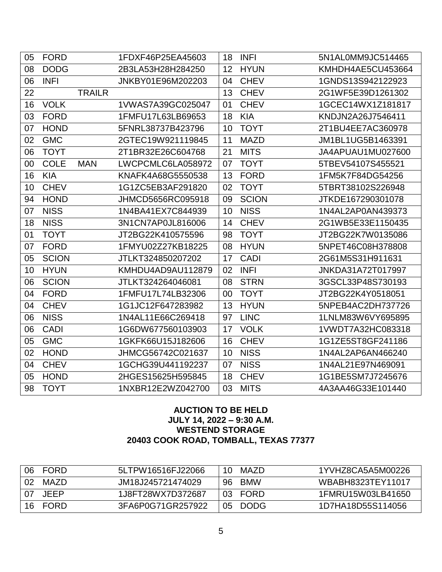| 05 | <b>FORD</b>  |               | 1FDXF46P25EA45603 | 18 | <b>INFI</b>  | 5N1AL0MM9JC514465 |
|----|--------------|---------------|-------------------|----|--------------|-------------------|
| 08 | <b>DODG</b>  |               | 2B3LA53H28H284250 | 12 | <b>HYUN</b>  | KMHDH4AE5CU453664 |
| 06 | <b>INFI</b>  |               | JNKBY01E96M202203 | 04 | <b>CHEV</b>  | 1GNDS13S942122923 |
| 22 |              | <b>TRAILR</b> |                   | 13 | <b>CHEV</b>  | 2G1WF5E39D1261302 |
| 16 | <b>VOLK</b>  |               | 1VWAS7A39GC025047 | 01 | <b>CHEV</b>  | 1GCEC14WX1Z181817 |
| 03 | <b>FORD</b>  |               | 1FMFU17L63LB69653 | 18 | <b>KIA</b>   | KNDJN2A26J7546411 |
| 07 | <b>HOND</b>  |               | 5FNRL38737B423796 | 10 | <b>TOYT</b>  | 2T1BU4EE7AC360978 |
| 02 | <b>GMC</b>   |               | 2GTEC19W921119845 | 11 | <b>MAZD</b>  | JM1BL1UG5B1463391 |
| 06 | <b>TOYT</b>  |               | 2T1BR32E26C604768 | 21 | <b>MITS</b>  | JA4APUAU1MU027600 |
| 00 | <b>COLE</b>  | <b>MAN</b>    | LWCPCMLC6LA058972 | 07 | <b>TOYT</b>  | 5TBEV54107S455521 |
| 16 | <b>KIA</b>   |               | KNAFK4A68G5550538 | 13 | <b>FORD</b>  | 1FM5K7F84DG54256  |
| 10 | <b>CHEV</b>  |               | 1G1ZC5EB3AF291820 | 02 | <b>TOYT</b>  | 5TBRT38102S226948 |
| 94 | <b>HOND</b>  |               | JHMCD5656RC095918 | 09 | <b>SCION</b> | JTKDE167290301078 |
| 07 | <b>NISS</b>  |               | 1N4BA41EX7C844939 | 10 | <b>NISS</b>  | 1N4AL2AP0AN439373 |
| 18 | <b>NISS</b>  |               | 3N1CN7AP0JL816006 | 14 | <b>CHEV</b>  | 2G1WB5E33E1150435 |
| 01 | <b>TOYT</b>  |               | JT2BG22K410575596 | 98 | <b>TOYT</b>  | JT2BG22K7W0135086 |
| 07 | <b>FORD</b>  |               | 1FMYU02Z27KB18225 | 08 | <b>HYUN</b>  | 5NPET46C08H378808 |
| 05 | <b>SCION</b> |               | JTLKT324850207202 | 17 | <b>CADI</b>  | 2G61M5S31H911631  |
| 10 | <b>HYUN</b>  |               | KMHDU4AD9AU112879 | 02 | <b>INFI</b>  | JNKDA31A72T017997 |
| 06 | <b>SCION</b> |               | JTLKT324264046081 | 08 | <b>STRN</b>  | 3GSCL33P48S730193 |
| 04 | <b>FORD</b>  |               | 1FMFU17L74LB32306 | 00 | <b>TOYT</b>  | JT2BG22K4Y0518051 |
| 04 | <b>CHEV</b>  |               | 1G1JC12F647283982 | 13 | <b>HYUN</b>  | 5NPEB4AC2DH737726 |
| 06 | <b>NISS</b>  |               | 1N4AL11E66C269418 | 97 | <b>LINC</b>  | 1LNLM83W6VY695895 |
| 06 | <b>CADI</b>  |               | 1G6DW677560103903 | 17 | <b>VOLK</b>  | 1VWDT7A32HC083318 |
| 05 | <b>GMC</b>   |               | 1GKFK66U15J182606 | 16 | <b>CHEV</b>  | 1G1ZE5ST8GF241186 |
| 02 | <b>HOND</b>  |               | JHMCG56742C021637 | 10 | <b>NISS</b>  | 1N4AL2AP6AN466240 |
| 04 | <b>CHEV</b>  |               | 1GCHG39U441192237 | 07 | <b>NISS</b>  | 1N4AL21E97N469091 |
| 05 | <b>HOND</b>  |               | 2HGES15625H595845 | 18 | <b>CHEV</b>  | 1G1BE5SM7J7245676 |
| 98 | <b>TOYT</b>  |               | 1NXBR12E2WZ042700 | 03 | <b>MITS</b>  | 4A3AA46G33E101440 |

# **AUCTION TO BE HELD JULY 14, 2022 – 9:30 A.M. WESTEND STORAGE 20403 COOK ROAD, TOMBALL, TEXAS 77377**

| 06  | <b>FORD</b> | 5LTPW16516FJ22066 | 10  | MAZD.      | 1YVHZ8CA5A5M00226 |
|-----|-------------|-------------------|-----|------------|-------------------|
| -02 | MAZD.       | JM18J245721474029 | 96. | <b>BMW</b> | WBABH8323TEY11017 |
| 07  | <b>JEEP</b> | 1J8FT28WX7D372687 |     | 03 FORD    | 1FMRU15W03LB41650 |
| 16  | <b>FORD</b> | 3FA6P0G71GR257922 |     | 05 DODG    | 1D7HA18D55S114056 |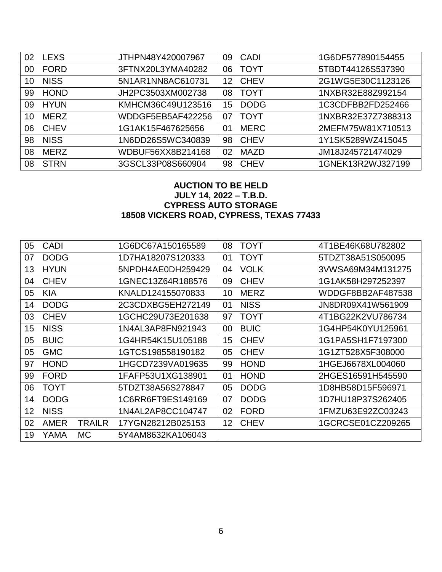| 02 | <b>LEXS</b> | JTHPN48Y420007967 | 09 | CADI        | 1G6DF577890154455  |
|----|-------------|-------------------|----|-------------|--------------------|
| 00 | <b>FORD</b> | 3FTNX20L3YMA40282 | 06 | <b>TOYT</b> | 5TBDT44126S537390  |
| 10 | <b>NISS</b> | 5N1AR1NN8AC610731 | 12 | <b>CHEV</b> | 2G1WG5E30C1123126  |
| 99 | <b>HOND</b> | JH2PC3503XM002738 | 08 | <b>TOYT</b> | 1NXBR32E88Z992154  |
| 09 | <b>HYUN</b> | KMHCM36C49U123516 | 15 | <b>DODG</b> | 1C3CDFBB2FD252466  |
| 10 | <b>MERZ</b> | WDDGF5EB5AF422256 | 07 | <b>TOYT</b> | 1NXBR32E37Z7388313 |
| 06 | <b>CHEV</b> | 1G1AK15F467625656 | 01 | <b>MERC</b> | 2MEFM75W81X710513  |
| 98 | <b>NISS</b> | 1N6DD26S5WC340839 | 98 | <b>CHEV</b> | 1Y1SK5289WZ415045  |
| 08 | <b>MERZ</b> | WDBUF56XX8B214168 | 02 | <b>MAZD</b> | JM18J245721474029  |
| 08 | <b>STRN</b> | 3GSCL33P08S660904 | 98 | <b>CHEV</b> | 1GNEK13R2WJ327199  |

# **AUCTION TO BE HELD JULY 14, 2022 – T.B.D. CYPRESS AUTO STORAGE 18508 VICKERS ROAD, CYPRESS, TEXAS 77433**

| 05 | <b>CADI</b> |               | 1G6DC67A150165589 | 08 | <b>TOYT</b> | 4T1BE46K68U782802 |
|----|-------------|---------------|-------------------|----|-------------|-------------------|
| 07 | <b>DODG</b> |               | 1D7HA18207S120333 | 01 | <b>TOYT</b> | 5TDZT38A51S050095 |
| 13 | <b>HYUN</b> |               | 5NPDH4AE0DH259429 | 04 | <b>VOLK</b> | 3VWSA69M34M131275 |
| 04 | <b>CHEV</b> |               | 1GNEC13Z64R188576 | 09 | <b>CHEV</b> | 1G1AK58H297252397 |
| 05 | <b>KIA</b>  |               | KNALD124155070833 | 10 | <b>MERZ</b> | WDDGF8BB2AF487538 |
| 14 | <b>DODG</b> |               | 2C3CDXBG5EH272149 | 01 | <b>NISS</b> | JN8DR09X41W561909 |
| 03 | <b>CHEV</b> |               | 1GCHC29U73E201638 | 97 | <b>TOYT</b> | 4T1BG22K2VU786734 |
| 15 | <b>NISS</b> |               | 1N4AL3AP8FN921943 | 00 | <b>BUIC</b> | 1G4HP54K0YU125961 |
| 05 | <b>BUIC</b> |               | 1G4HR54K15U105188 | 15 | <b>CHEV</b> | 1G1PA5SH1F7197300 |
| 05 | <b>GMC</b>  |               | 1GTCS198558190182 | 05 | <b>CHEV</b> | 1G1ZT528X5F308000 |
| 97 | <b>HOND</b> |               | 1HGCD7239VA019635 | 99 | <b>HOND</b> | 1HGEJ6678XL004060 |
| 99 | <b>FORD</b> |               | 1FAFP53U1XG138901 | 01 | <b>HOND</b> | 2HGES16591H545590 |
| 06 | TOYT        |               | 5TDZT38A56S278847 | 05 | <b>DODG</b> | 1D8HB58D15F596971 |
| 14 | <b>DODG</b> |               | 1C6RR6FT9ES149169 | 07 | <b>DODG</b> | 1D7HU18P37S262405 |
| 12 | <b>NISS</b> |               | 1N4AL2AP8CC104747 | 02 | <b>FORD</b> | 1FMZU63E92ZC03243 |
| 02 | <b>AMER</b> | <b>TRAILR</b> | 17YGN28212B025153 | 12 | <b>CHEV</b> | 1GCRCSE01CZ209265 |
| 19 | YAMA        | МC            | 5Y4AM8632KA106043 |    |             |                   |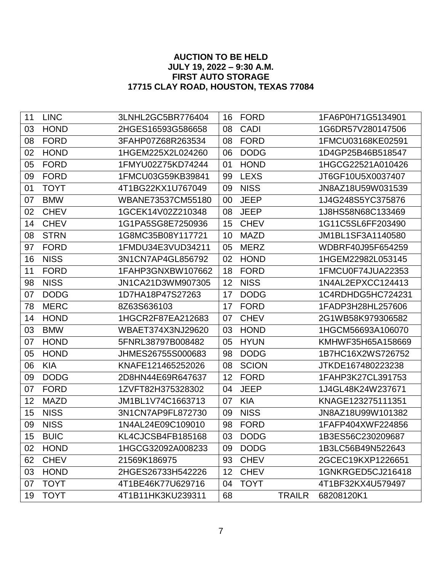# **AUCTION TO BE HELD JULY 19, 2022 – 9:30 A.M. FIRST AUTO STORAGE 17715 CLAY ROAD, HOUSTON, TEXAS 77084**

| 11 | <b>LINC</b> | 3LNHL2GC5BR776404 | 16 | <b>FORD</b>  |               | 1FA6P0H71G5134901 |
|----|-------------|-------------------|----|--------------|---------------|-------------------|
| 03 | <b>HOND</b> | 2HGES16593G586658 | 08 | <b>CADI</b>  |               | 1G6DR57V280147506 |
| 08 | <b>FORD</b> | 3FAHP07Z68R263534 | 08 | <b>FORD</b>  |               | 1FMCU03168KE02591 |
| 02 | <b>HOND</b> | 1HGEM225X2L024260 | 06 | <b>DODG</b>  |               | 1D4GP25B46B518547 |
| 05 | <b>FORD</b> | 1FMYU02Z75KD74244 | 01 | <b>HOND</b>  |               | 1HGCG22521A010426 |
| 09 | <b>FORD</b> | 1FMCU03G59KB39841 | 99 | <b>LEXS</b>  |               | JT6GF10U5X0037407 |
| 01 | <b>TOYT</b> | 4T1BG22KX1U767049 | 09 | <b>NISS</b>  |               | JN8AZ18U59W031539 |
| 07 | <b>BMW</b>  | WBANE73537CM55180 | 00 | <b>JEEP</b>  |               | 1J4G248S5YC375876 |
| 02 | <b>CHEV</b> | 1GCEK14V02Z210348 | 08 | <b>JEEP</b>  |               | 1J8HS58N68C133469 |
| 14 | <b>CHEV</b> | 1G1PA5SG8E7250936 | 15 | <b>CHEV</b>  |               | 1G11C5SL6FF203490 |
| 08 | <b>STRN</b> | 1G8MC35B08Y117721 | 10 | <b>MAZD</b>  |               | JM1BL1SF3A1140580 |
| 97 | <b>FORD</b> | 1FMDU34E3VUD34211 | 05 | <b>MERZ</b>  |               | WDBRF40J95F654259 |
| 16 | <b>NISS</b> | 3N1CN7AP4GL856792 | 02 | <b>HOND</b>  |               | 1HGEM22982L053145 |
| 11 | <b>FORD</b> | 1FAHP3GNXBW107662 | 18 | <b>FORD</b>  |               | 1FMCU0F74JUA22353 |
| 98 | <b>NISS</b> | JN1CA21D3WM907305 | 12 | <b>NISS</b>  |               | 1N4AL2EPXCC124413 |
| 07 | <b>DODG</b> | 1D7HA18P47S27263  | 17 | <b>DODG</b>  |               | 1C4RDHDG5HC724231 |
| 78 | <b>MERC</b> | 8Z63S636103       | 17 | <b>FORD</b>  |               | 1FADP3H28HL257606 |
| 14 | <b>HOND</b> | 1HGCR2F87EA212683 | 07 | <b>CHEV</b>  |               | 2G1WB58K979306582 |
| 03 | <b>BMW</b>  | WBAET374X3NJ29620 | 03 | <b>HOND</b>  |               | 1HGCM56693A106070 |
| 07 | <b>HOND</b> | 5FNRL38797B008482 | 05 | <b>HYUN</b>  |               | KMHWF35H65A158669 |
| 05 | <b>HOND</b> | JHMES26755S000683 | 98 | <b>DODG</b>  |               | 1B7HC16X2WS726752 |
| 06 | <b>KIA</b>  | KNAFE121465252026 | 08 | <b>SCION</b> |               | JTKDE167480223238 |
| 09 | <b>DODG</b> | 2D8HN44E69R647637 | 12 | <b>FORD</b>  |               | 1FAHP3K27CL391753 |
| 07 | <b>FORD</b> | 1ZVFT82H375328302 | 04 | <b>JEEP</b>  |               | 1J4GL48K24W237671 |
| 12 | <b>MAZD</b> | JM1BL1V74C1663713 | 07 | <b>KIA</b>   |               | KNAGE123275111351 |
| 15 | <b>NISS</b> | 3N1CN7AP9FL872730 | 09 | <b>NISS</b>  |               | JN8AZ18U99W101382 |
| 09 | <b>NISS</b> | 1N4AL24E09C109010 | 98 | <b>FORD</b>  |               | 1FAFP404XWF224856 |
| 15 | <b>BUIC</b> | KL4CJCSB4FB185168 | 03 | <b>DODG</b>  |               | 1B3ES56C230209687 |
| 02 | <b>HOND</b> | 1HGCG32092A008233 | 09 | <b>DODG</b>  |               | 1B3LC56B49N522643 |
| 62 | <b>CHEV</b> | 21569K186975      | 93 | <b>CHEV</b>  |               | 2GCEC19KXP1226651 |
| 03 | <b>HOND</b> | 2HGES26733H542226 | 12 | <b>CHEV</b>  |               | 1GNKRGED5CJ216418 |
| 07 | <b>TOYT</b> | 4T1BE46K77U629716 | 04 | <b>TOYT</b>  |               | 4T1BF32KX4U579497 |
| 19 | <b>TOYT</b> | 4T1B11HK3KU239311 | 68 |              | <b>TRAILR</b> | 68208120K1        |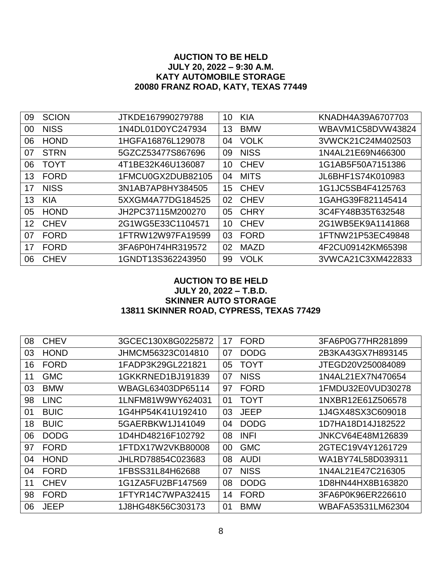# **AUCTION TO BE HELD JULY 20, 2022 – 9:30 A.M. KATY AUTOMOBILE STORAGE 20080 FRANZ ROAD, KATY, TEXAS 77449**

| 09 | <b>SCION</b> | JTKDE167990279788 | 10               | <b>KIA</b>  | KNADH4A39A6707703 |
|----|--------------|-------------------|------------------|-------------|-------------------|
| 00 | <b>NISS</b>  | 1N4DL01D0YC247934 | 13               | <b>BMW</b>  | WBAVM1C58DVW43824 |
| 06 | <b>HOND</b>  | 1HGFA16876L129078 | 04               | <b>VOLK</b> | 3VWCK21C24M402503 |
| 07 | <b>STRN</b>  | 5GZCZ53477S867696 | 09               | <b>NISS</b> | 1N4AL21E69N466300 |
| 06 | <b>TOYT</b>  | 4T1BE32K46U136087 | 10               | <b>CHEV</b> | 1G1AB5F50A7151386 |
| 13 | <b>FORD</b>  | 1FMCU0GX2DUB82105 | 04               | <b>MITS</b> | JL6BHF1S74K010983 |
| 17 | <b>NISS</b>  | 3N1AB7AP8HY384505 | 15 <sup>15</sup> | <b>CHEV</b> | 1G1JC5SB4F4125763 |
| 13 | <b>KIA</b>   | 5XXGM4A77DG184525 | 02               | <b>CHEV</b> | 1GAHG39F821145414 |
| 05 | <b>HOND</b>  | JH2PC37115M200270 | 05               | <b>CHRY</b> | 3C4FY48B35T632548 |
| 12 | <b>CHEV</b>  | 2G1WG5E33C1104571 | 10               | <b>CHEV</b> | 2G1WB5EK9A1141868 |
| 07 | <b>FORD</b>  | 1FTRW12W97FA19599 | 03               | <b>FORD</b> | 1FTNW21P53EC49848 |
| 17 | <b>FORD</b>  | 3FA6P0H74HR319572 | 02               | <b>MAZD</b> | 4F2CU09142KM65398 |
| 06 | <b>CHEV</b>  | 1GNDT13S362243950 | 99               | <b>VOLK</b> | 3VWCA21C3XM422833 |

# **AUCTION TO BE HELD JULY 20, 2022 – T.B.D. SKINNER AUTO STORAGE 13811 SKINNER ROAD, CYPRESS, TEXAS 77429**

| 08 | <b>CHEV</b> | 3GCEC130X8G0225872 | 17 | <b>FORD</b> | 3FA6P0G77HR281899 |
|----|-------------|--------------------|----|-------------|-------------------|
| 03 | <b>HOND</b> | JHMCM56323C014810  | 07 | <b>DODG</b> | 2B3KA43GX7H893145 |
| 16 | <b>FORD</b> | 1FADP3K29GL221821  | 05 | <b>TOYT</b> | JTEGD20V250084089 |
| 11 | <b>GMC</b>  | 1GKKRNED1BJ191839  | 07 | <b>NISS</b> | 1N4AL21EX7N470654 |
| 03 | <b>BMW</b>  | WBAGL63403DP65114  | 97 | <b>FORD</b> | 1FMDU32E0VUD30278 |
| 98 | <b>LINC</b> | 1LNFM81W9WY624031  | 01 | <b>TOYT</b> | 1NXBR12E61Z506578 |
| 01 | <b>BUIC</b> | 1G4HP54K41U192410  | 03 | <b>JEEP</b> | 1J4GX48SX3C609018 |
| 18 | <b>BUIC</b> | 5GAERBKW1J141049   | 04 | <b>DODG</b> | 1D7HA18D14J182522 |
| 06 | <b>DODG</b> | 1D4HD48216F102792  | 08 | <b>INFI</b> | JNKCV64E48M126839 |
| 97 | <b>FORD</b> | 1FTDX17W2VKB80008  | 00 | <b>GMC</b>  | 2GTEC19V4Y1261729 |
| 04 | <b>HOND</b> | JHLRD78854C023683  | 08 | <b>AUDI</b> | WA1BY74L58D039311 |
| 04 | <b>FORD</b> | 1FBSS31L84H62688   | 07 | <b>NISS</b> | 1N4AL21E47C216305 |
| 11 | <b>CHEV</b> | 1G1ZA5FU2BF147569  | 08 | <b>DODG</b> | 1D8HN44HX8B163820 |
| 98 | <b>FORD</b> | 1FTYR14C7WPA32415  | 14 | <b>FORD</b> | 3FA6P0K96ER226610 |
| 06 | <b>JEEP</b> | 1J8HG48K56C303173  | 01 | <b>BMW</b>  | WBAFA53531LM62304 |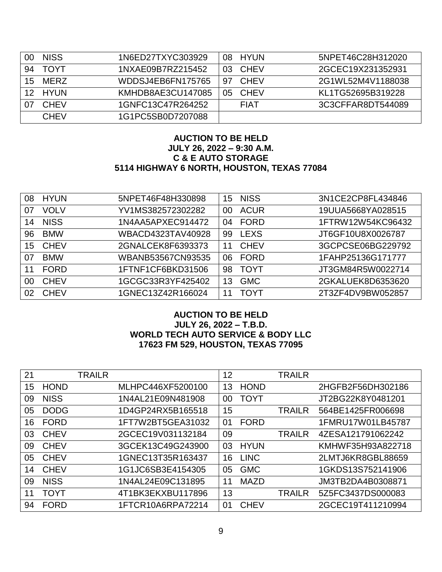|    | <b>NISS</b> | 1N6ED27TXYC303929 |                | 08 HYUN     | 5NPET46C28H312020 |
|----|-------------|-------------------|----------------|-------------|-------------------|
| 94 | TOYT        | 1NXAE09B7RZ215452 | O <sub>3</sub> | CHEV        | 2GCEC19X231352931 |
| 15 | MFRZ        | WDDSJ4EB6FN175765 | .97            | CHEV        | 2G1WL52M4V1188038 |
|    | 12 HYUN     | KMHDB8AE3CU147085 | 05             | CHEV        | KL1TG52695B319228 |
|    | <b>CHEV</b> | 1GNFC13C47R264252 |                | <b>FIAT</b> | 3C3CFFAR8DT544089 |
|    | <b>CHEV</b> | 1G1PC5SB0D7207088 |                |             |                   |

## **AUCTION TO BE HELD JULY 26, 2022 – 9:30 A.M. C & E AUTO STORAGE 5114 HIGHWAY 6 NORTH, HOUSTON, TEXAS 77084**

| 08 | <b>HYUN</b> | 5NPET46F48H330898 | 15 | <b>NISS</b> | 3N1CE2CP8FL434846 |
|----|-------------|-------------------|----|-------------|-------------------|
| 07 | <b>VOLV</b> | YV1MS382572302282 | 00 | <b>ACUR</b> | 19UUA5668YA028515 |
| 14 | <b>NISS</b> | 1N4AA5APXEC914472 | 04 | <b>FORD</b> | 1FTRW12W54KC96432 |
| 96 | <b>BMW</b>  | WBACD4323TAV40928 | 99 | <b>LEXS</b> | JT6GF10U8X0026787 |
| 15 | <b>CHEV</b> | 2GNALCEK8F6393373 | 11 | <b>CHEV</b> | 3GCPCSE06BG229792 |
| 07 | <b>BMW</b>  | WBANB53567CN93535 | 06 | <b>FORD</b> | 1FAHP25136G171777 |
| 11 | <b>FORD</b> | 1FTNF1CF6BKD31506 | 98 | <b>TOYT</b> | JT3GM84R5W0022714 |
| 00 | <b>CHEV</b> | 1GCGC33R3YF425402 | 13 | <b>GMC</b>  | 2GKALUEK8D6353620 |
| 02 | <b>CHEV</b> | 1GNEC13Z42R166024 | 11 | <b>TOYT</b> | 2T3ZF4DV9BW052857 |

## **AUCTION TO BE HELD JULY 26, 2022 – T.B.D. WORLD TECH AUTO SERVICE & BODY LLC 17623 FM 529, HOUSTON, TEXAS 77095**

| 21 |             | <b>TRAILR</b> |                   | 12 |             | <b>TRAILR</b> |                   |
|----|-------------|---------------|-------------------|----|-------------|---------------|-------------------|
| 15 | <b>HOND</b> |               | MLHPC446XF5200100 | 13 | <b>HOND</b> |               | 2HGFB2F56DH302186 |
| 09 | <b>NISS</b> |               | 1N4AL21E09N481908 | 00 | <b>TOYT</b> |               | JT2BG22K8Y0481201 |
| 05 | <b>DODG</b> |               | 1D4GP24RX5B165518 | 15 |             | <b>TRAILR</b> | 564BE1425FR006698 |
| 16 | <b>FORD</b> |               | 1FT7W2BT5GEA31032 | 01 | <b>FORD</b> |               | 1FMRU17W01LB45787 |
| 03 | <b>CHEV</b> |               | 2GCEC19V031132184 | 09 |             | <b>TRAILR</b> | 4ZESA121791062242 |
| 09 | <b>CHEV</b> |               | 3GCEK13C49G243900 | 03 | <b>HYUN</b> |               | KMHWF35H93A822718 |
| 05 | <b>CHEV</b> |               | 1GNEC13T35R163437 | 16 | <b>LINC</b> |               | 2LMTJ6KR8GBL88659 |
| 14 | <b>CHEV</b> |               | 1G1JC6SB3E4154305 | 05 | <b>GMC</b>  |               | 1GKDS13S752141906 |
| 09 | <b>NISS</b> |               | 1N4AL24E09C131895 | 11 | <b>MAZD</b> |               | JM3TB2DA4B0308871 |
| 11 | <b>TOYT</b> |               | 4T1BK3EKXBU117896 | 13 |             | <b>TRAILR</b> | 5Z5FC3437DS000083 |
| 94 | <b>FORD</b> |               | 1FTCR10A6RPA72214 | 01 | <b>CHEV</b> |               | 2GCEC19T411210994 |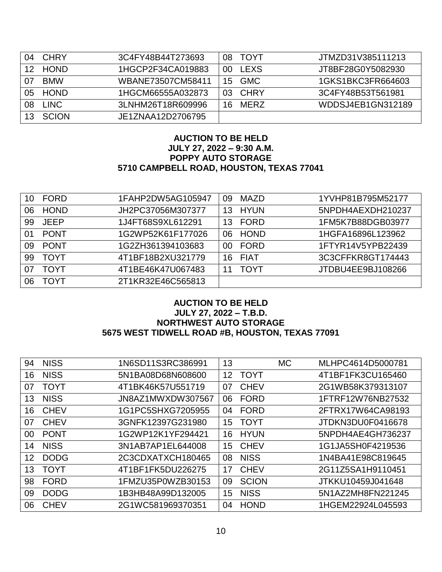| 04 | <b>CHRY</b>  | 3C4FY48B44T273693 | 08. | TOYT       | JTMZD31V385111213 |
|----|--------------|-------------------|-----|------------|-------------------|
| 12 | <b>HOND</b>  | 1HGCP2F34CA019883 | 00  | LEXS       | JT8BF28G0Y5082930 |
|    | <b>BMW</b>   | WBANE73507CM58411 | 15  | <b>GMC</b> | 1GKS1BKC3FR664603 |
| 05 | <b>HOND</b>  | 1HGCM66555A032873 | 03. | CHRY       | 3C4FY48B53T561981 |
| 08 | <b>LINC</b>  | 3LNHM26T18R609996 | 16. | MERZ       | WDDSJ4EB1GN312189 |
|    | <b>SCION</b> | JE1ZNAA12D2706795 |     |            |                   |

## **AUCTION TO BE HELD JULY 27, 2022 – 9:30 A.M. POPPY AUTO STORAGE 5710 CAMPBELL ROAD, HOUSTON, TEXAS 77041**

| 10 | <b>FORD</b> | 1FAHP2DW5AG105947 | 09  | <b>MAZD</b> | 1YVHP81B795M52177 |
|----|-------------|-------------------|-----|-------------|-------------------|
| 06 | <b>HOND</b> | JH2PC37056M307377 | 13  | <b>HYUN</b> | 5NPDH4AEXDH210237 |
| 99 | <b>JEEP</b> | 1J4FT68S9XL612291 | 13  | <b>FORD</b> | 1FM5K7B88DGB03977 |
| 01 | <b>PONT</b> | 1G2WP52K61F177026 | 06  | <b>HOND</b> | 1HGFA16896L123962 |
| 09 | <b>PONT</b> | 1G2ZH361394103683 | OO. | <b>FORD</b> | 1FTYR14V5YPB22439 |
| 99 | <b>TOYT</b> | 4T1BF18B2XU321779 | 16  | <b>FIAT</b> | 3C3CFFKR8GT174443 |
| 07 | TOYT        | 4T1BE46K47U067483 | 11  | <b>TOYT</b> | JTDBU4EE9BJ108266 |
| 06 | ΓΟΥΤ        | 2T1KR32E46C565813 |     |             |                   |

# **AUCTION TO BE HELD JULY 27, 2022 – T.B.D. NORTHWEST AUTO STORAGE 5675 WEST TIDWELL ROAD #B, HOUSTON, TEXAS 77091**

| 94 | <b>NISS</b> | 1N6SD11S3RC386991 | 13              |              | <b>MC</b> | MLHPC4614D5000781 |
|----|-------------|-------------------|-----------------|--------------|-----------|-------------------|
| 16 | <b>NISS</b> | 5N1BA08D68N608600 | 12              | <b>TOYT</b>  |           | 4T1BF1FK3CU165460 |
| 07 | <b>TOYT</b> | 4T1BK46K57U551719 | 07              | <b>CHEV</b>  |           | 2G1WB58K379313107 |
| 13 | <b>NISS</b> | JN8AZ1MWXDW307567 | 06              | <b>FORD</b>  |           | 1FTRF12W76NB27532 |
| 16 | <b>CHEV</b> | 1G1PC5SHXG7205955 | 04              | <b>FORD</b>  |           | 2FTRX17W64CA98193 |
| 07 | <b>CHEV</b> | 3GNFK12397G231980 | 15 <sub>1</sub> | <b>TOYT</b>  |           | JTDKN3DU0F0416678 |
| 00 | <b>PONT</b> | 1G2WP12K1YF294421 | 16              | <b>HYUN</b>  |           | 5NPDH4AE4GH736237 |
| 14 | <b>NISS</b> | 3N1AB7AP1EL644008 | 15              | <b>CHEV</b>  |           | 1G1JA5SH0F4219536 |
| 12 | <b>DODG</b> | 2C3CDXATXCH180465 | 08              | <b>NISS</b>  |           | 1N4BA41E98C819645 |
| 13 | <b>TOYT</b> | 4T1BF1FK5DU226275 | 17              | <b>CHEV</b>  |           | 2G11Z5SA1H9110451 |
| 98 | <b>FORD</b> | 1FMZU35P0WZB30153 | 09              | <b>SCION</b> |           | JTKKU10459J041648 |
| 09 | <b>DODG</b> | 1B3HB48A99D132005 | 15              | <b>NISS</b>  |           | 5N1AZ2MH8FN221245 |
| 06 | <b>CHEV</b> | 2G1WC581969370351 | 04              | <b>HOND</b>  |           | 1HGEM22924L045593 |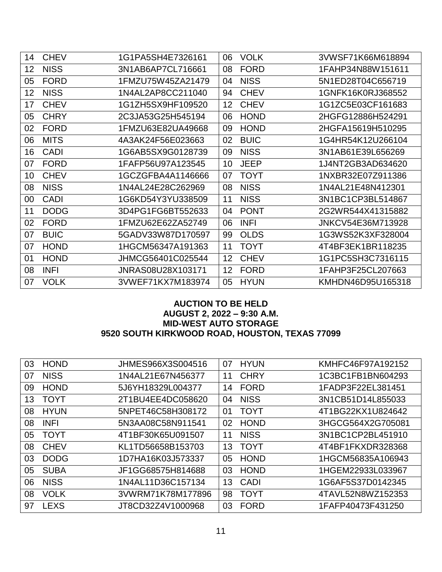| 14 | <b>CHEV</b> | 1G1PA5SH4E7326161 | 06 | <b>VOLK</b> | 3VWSF71K66M618894 |
|----|-------------|-------------------|----|-------------|-------------------|
| 12 | <b>NISS</b> | 3N1AB6AP7CL716661 | 08 | <b>FORD</b> | 1FAHP34N88W151611 |
| 05 | <b>FORD</b> | 1FMZU75W45ZA21479 | 04 | <b>NISS</b> | 5N1ED28T04C656719 |
| 12 | <b>NISS</b> | 1N4AL2AP8CC211040 | 94 | <b>CHEV</b> | 1GNFK16K0RJ368552 |
| 17 | <b>CHEV</b> | 1G1ZH5SX9HF109520 | 12 | <b>CHEV</b> | 1G1ZC5E03CF161683 |
| 05 | <b>CHRY</b> | 2C3JA53G25H545194 | 06 | <b>HOND</b> | 2HGFG12886H524291 |
| 02 | <b>FORD</b> | 1FMZU63E82UA49668 | 09 | <b>HOND</b> | 2HGFA15619H510295 |
| 06 | <b>MITS</b> | 4A3AK24F56E023663 | 02 | <b>BUIC</b> | 1G4HR54K12U266104 |
| 16 | <b>CADI</b> | 1G6AB5SX9G0128739 | 09 | <b>NISS</b> | 3N1AB61E39L656269 |
| 07 | <b>FORD</b> | 1FAFP56U97A123545 | 10 | <b>JEEP</b> | 1J4NT2GB3AD634620 |
| 10 | <b>CHEV</b> | 1GCZGFBA4A1146666 | 07 | <b>TOYT</b> | 1NXBR32E07Z911386 |
| 08 | <b>NISS</b> | 1N4AL24E28C262969 | 08 | <b>NISS</b> | 1N4AL21E48N412301 |
| 00 | <b>CADI</b> | 1G6KD54Y3YU338509 | 11 | <b>NISS</b> | 3N1BC1CP3BL514867 |
| 11 | <b>DODG</b> | 3D4PG1FG6BT552633 | 04 | <b>PONT</b> | 2G2WR544X41315882 |
| 02 | <b>FORD</b> | 1FMZU62E62ZA52749 | 06 | <b>INFI</b> | JNKCV54E36M713928 |
| 07 | <b>BUIC</b> | 5GADV33W87D170597 | 99 | <b>OLDS</b> | 1G3WS52K3XF328004 |
| 07 | <b>HOND</b> | 1HGCM56347A191363 | 11 | <b>TOYT</b> | 4T4BF3EK1BR118235 |
| 01 | <b>HOND</b> | JHMCG56401C025544 | 12 | <b>CHEV</b> | 1G1PC5SH3C7316115 |
| 08 | <b>INFI</b> | JNRAS08U28X103171 | 12 | <b>FORD</b> | 1FAHP3F25CL207663 |
| 07 | <b>VOLK</b> | 3VWEF71KX7M183974 | 05 | <b>HYUN</b> | KMHDN46D95U165318 |

# **AUCTION TO BE HELD AUGUST 2, 2022 – 9:30 A.M. MID-WEST AUTO STORAGE 9520 SOUTH KIRKWOOD ROAD, HOUSTON, TEXAS 77099**

| 03 | <b>HOND</b> | JHMES966X3S004516 | 07 | <b>HYUN</b> | KMHFC46F97A192152 |
|----|-------------|-------------------|----|-------------|-------------------|
| 07 | <b>NISS</b> | 1N4AL21E67N456377 | 11 | <b>CHRY</b> | 1C3BC1FB1BN604293 |
| 09 | <b>HOND</b> | 5J6YH18329L004377 | 14 | <b>FORD</b> | 1FADP3F22EL381451 |
| 13 | <b>TOYT</b> | 2T1BU4EE4DC058620 | 04 | <b>NISS</b> | 3N1CB51D14L855033 |
| 08 | <b>HYUN</b> | 5NPET46C58H308172 | 01 | <b>TOYT</b> | 4T1BG22KX1U824642 |
| 08 | <b>INFI</b> | 5N3AA08C58N911541 | 02 | <b>HOND</b> | 3HGCG564X2G705081 |
| 05 | <b>TOYT</b> | 4T1BF30K65U091507 | 11 | <b>NISS</b> | 3N1BC1CP2BL451910 |
| 08 | <b>CHEV</b> | KL1TD56658B153703 | 13 | <b>TOYT</b> | 4T4BF1FKXDR328368 |
| 03 | <b>DODG</b> | 1D7HA16K03J573337 | 05 | <b>HOND</b> | 1HGCM56835A106943 |
| 05 | <b>SUBA</b> | JF1GG68575H814688 | 03 | <b>HOND</b> | 1HGEM22933L033967 |
| 06 | <b>NISS</b> | 1N4AL11D36C157134 | 13 | CADI        | 1G6AF5S37D0142345 |
| 08 | <b>VOLK</b> | 3VWRM71K78M177896 | 98 | <b>TOYT</b> | 4TAVL52N8WZ152353 |
| 97 | <b>LEXS</b> | JT8CD32Z4V1000968 | 03 | <b>FORD</b> | 1FAFP40473F431250 |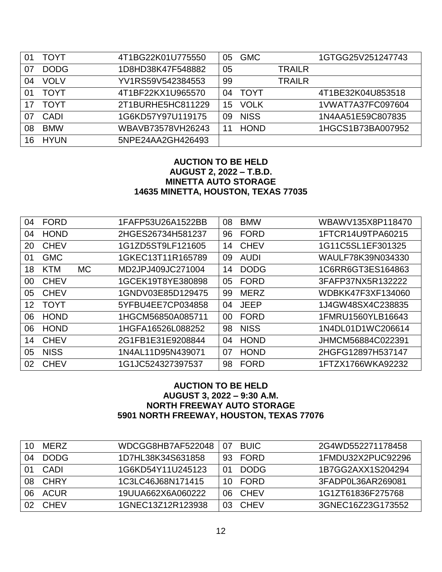| 01 | TOYT        | 4T1BG22K01U775550 | 05 | <b>GMC</b>  |               | 1GTGG25V251247743 |
|----|-------------|-------------------|----|-------------|---------------|-------------------|
|    | <b>DODG</b> | 1D8HD38K47F548882 | 05 |             | <b>TRAILR</b> |                   |
| 04 | <b>VOLV</b> | YV1RS59V542384553 | 99 |             | <b>TRAILR</b> |                   |
| 01 | <b>TOYT</b> | 4T1BF22KX1U965570 | 04 | <b>TOYT</b> |               | 4T1BE32K04U853518 |
|    | <b>TOYT</b> | 2T1BURHE5HC811229 | 15 | <b>VOLK</b> |               | 1VWAT7A37FC097604 |
| 07 | CADI        | 1G6KD57Y97U119175 | 09 | <b>NISS</b> |               | 1N4AA51E59C807835 |
| 08 | <b>BMW</b>  | WBAVB73578VH26243 | 11 | <b>HOND</b> |               | 1HGCS1B73BA007952 |
| 16 | <b>HYUN</b> | 5NPE24AA2GH426493 |    |             |               |                   |

## **AUCTION TO BE HELD AUGUST 2, 2022 – T.B.D. MINETTA AUTO STORAGE 14635 MINETTA, HOUSTON, TEXAS 77035**

| 04 | <b>FORD</b> |           | 1FAFP53U26A1522BB | 08 | <b>BMW</b>  | WBAWV135X8P118470 |
|----|-------------|-----------|-------------------|----|-------------|-------------------|
| 04 | <b>HOND</b> |           | 2HGES26734H581237 | 96 | <b>FORD</b> | 1FTCR14U9TPA60215 |
| 20 | <b>CHEV</b> |           | 1G1ZD5ST9LF121605 | 14 | <b>CHEV</b> | 1G11C5SL1EF301325 |
| 01 | <b>GMC</b>  |           | 1GKEC13T11R165789 | 09 | <b>AUDI</b> | WAULF78K39N034330 |
| 18 | <b>KTM</b>  | <b>MC</b> | MD2JPJ409JC271004 | 14 | <b>DODG</b> | 1C6RR6GT3ES164863 |
| 00 | <b>CHEV</b> |           | 1GCEK19T8YE380898 | 05 | <b>FORD</b> | 3FAFP37NX5R132222 |
| 05 | <b>CHEV</b> |           | 1GNDV03E85D129475 | 99 | <b>MERZ</b> | WDBKK47F3XF134060 |
| 12 | <b>TOYT</b> |           | 5YFBU4EE7CP034858 | 04 | <b>JEEP</b> | 1J4GW48SX4C238835 |
| 06 | <b>HOND</b> |           | 1HGCM56850A085711 | 00 | <b>FORD</b> | 1FMRU1560YLB16643 |
| 06 | <b>HOND</b> |           | 1HGFA16526L088252 | 98 | <b>NISS</b> | 1N4DL01D1WC206614 |
| 14 | <b>CHEV</b> |           | 2G1FB1E31E9208844 | 04 | <b>HOND</b> | JHMCM56884C022391 |
| 05 | <b>NISS</b> |           | 1N4AL11D95N439071 | 07 | <b>HOND</b> | 2HGFG12897H537147 |
| 02 | <b>CHEV</b> |           | 1G1JC524327397537 | 98 | <b>FORD</b> | 1FTZX1766WKA92232 |

## **AUCTION TO BE HELD AUGUST 3, 2022 – 9:30 A.M. NORTH FREEWAY AUTO STORAGE 5901 NORTH FREEWAY, HOUSTON, TEXAS 77076**

| 10.            | <b>MERZ</b> | WDCGG8HB7AF522048 | 07  | <b>BUIC</b> | 2G4WD552271178458 |
|----------------|-------------|-------------------|-----|-------------|-------------------|
| 04             | <b>DODG</b> | 1D7HL38K34S631858 |     | 93 FORD     | 1FMDU32X2PUC92296 |
|                | CADI        | 1G6KD54Y11U245123 | 01  | <b>DODG</b> | 1B7GG2AXX1S204294 |
| 08             | <b>CHRY</b> | 1C3LC46J68N171415 |     | 10 FORD     | 3FADP0L36AR269081 |
| 06             | ACUR        | 19UUA662X6A060222 | 06. | CHEV        | 1G1ZT61836F275768 |
| O <sub>2</sub> | <b>CHEV</b> | 1GNEC13Z12R123938 | 03. | CHEV        | 3GNEC16Z23G173552 |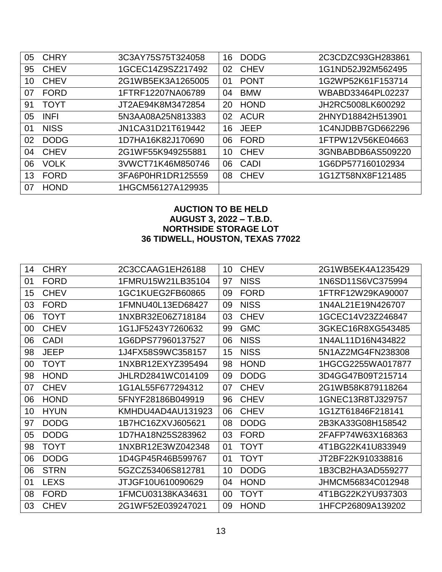| 05 | <b>CHRY</b> | 3C3AY75S75T324058 | 16 | <b>DODG</b> | 2C3CDZC93GH283861 |
|----|-------------|-------------------|----|-------------|-------------------|
| 95 | <b>CHEV</b> | 1GCEC14Z9SZ217492 | 02 | <b>CHEV</b> | 1G1ND52J92M562495 |
| 10 | <b>CHEV</b> | 2G1WB5EK3A1265005 | 01 | <b>PONT</b> | 1G2WP52K61F153714 |
| 07 | <b>FORD</b> | 1FTRF12207NA06789 | 04 | <b>BMW</b>  | WBABD33464PL02237 |
| 91 | <b>TOYT</b> | JT2AE94K8M3472854 | 20 | <b>HOND</b> | JH2RC5008LK600292 |
| 05 | <b>INFI</b> | 5N3AA08A25N813383 | 02 | <b>ACUR</b> | 2HNYD18842H513901 |
| 01 | <b>NISS</b> | JN1CA31D21T619442 | 16 | <b>JEEP</b> | 1C4NJDBB7GD662296 |
| 02 | <b>DODG</b> | 1D7HA16K82J170690 | 06 | <b>FORD</b> | 1FTPW12V56KE04663 |
| 04 | <b>CHEV</b> | 2G1WF55K949255881 | 10 | <b>CHEV</b> | 3GNBABDB6AS509220 |
| 06 | <b>VOLK</b> | 3VWCT71K46M850746 | 06 | CADI        | 1G6DP577160102934 |
| 13 | <b>FORD</b> | 3FA6P0HR1DR125559 | 08 | <b>CHEV</b> | 1G1ZT58NX8F121485 |
| 07 | <b>HOND</b> | 1HGCM56127A129935 |    |             |                   |

# **AUCTION TO BE HELD AUGUST 3, 2022 – T.B.D. NORTHSIDE STORAGE LOT 36 TIDWELL, HOUSTON, TEXAS 77022**

| 14 | <b>CHRY</b> | 2C3CCAAG1EH26188  | 10 | <b>CHEV</b> | 2G1WB5EK4A1235429 |
|----|-------------|-------------------|----|-------------|-------------------|
| 01 | <b>FORD</b> | 1FMRU15W21LB35104 | 97 | <b>NISS</b> | 1N6SD11S6VC375994 |
| 15 | <b>CHEV</b> | 1GC1KUEG2FB60865  | 09 | <b>FORD</b> | 1FTRF12W29KA90007 |
| 03 | <b>FORD</b> | 1FMNU40L13ED68427 | 09 | <b>NISS</b> | 1N4AL21E19N426707 |
| 06 | <b>TOYT</b> | 1NXBR32E06Z718184 | 03 | <b>CHEV</b> | 1GCEC14V23Z246847 |
| 00 | <b>CHEV</b> | 1G1JF5243Y7260632 | 99 | <b>GMC</b>  | 3GKEC16R8XG543485 |
| 06 | <b>CADI</b> | 1G6DPS77960137527 | 06 | <b>NISS</b> | 1N4AL11D16N434822 |
| 98 | <b>JEEP</b> | 1J4FX58S9WC358157 | 15 | <b>NISS</b> | 5N1AZ2MG4FN238308 |
| 00 | <b>TOYT</b> | 1NXBR12EXYZ395494 | 98 | <b>HOND</b> | 1HGCG2255WA017877 |
| 98 | <b>HOND</b> | JHLRD2841WC014109 | 09 | <b>DODG</b> | 3D4GG47B09T215714 |
| 07 | <b>CHEV</b> | 1G1AL55F677294312 | 07 | <b>CHEV</b> | 2G1WB58K879118264 |
| 06 | <b>HOND</b> | 5FNYF28186B049919 | 96 | <b>CHEV</b> | 1GNEC13R8TJ329757 |
| 10 | <b>HYUN</b> | KMHDU4AD4AU131923 | 06 | <b>CHEV</b> | 1G1ZT61846F218141 |
| 97 | <b>DODG</b> | 1B7HC16ZXVJ605621 | 08 | <b>DODG</b> | 2B3KA33G08H158542 |
| 05 | <b>DODG</b> | 1D7HA18N25S283962 | 03 | <b>FORD</b> | 2FAFP74W63X168363 |
| 98 | <b>TOYT</b> | 1NXBR12E3WZ042348 | 01 | <b>TOYT</b> | 4T1BG22K41U833949 |
| 06 | <b>DODG</b> | 1D4GP45R46B599767 | 01 | <b>TOYT</b> | JT2BF22K910338816 |
| 06 | <b>STRN</b> | 5GZCZ53406S812781 | 10 | <b>DODG</b> | 1B3CB2HA3AD559277 |
| 01 | <b>LEXS</b> | JTJGF10U610090629 | 04 | <b>HOND</b> | JHMCM56834C012948 |
| 08 | <b>FORD</b> | 1FMCU03138KA34631 | 00 | <b>TOYT</b> | 4T1BG22K2YU937303 |
| 03 | <b>CHEV</b> | 2G1WF52E039247021 | 09 | <b>HOND</b> | 1HFCP26809A139202 |